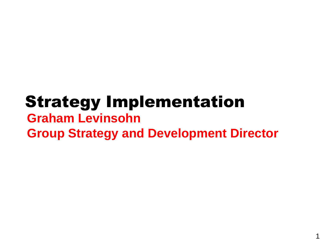# Strategy Implementation **Graham Levinsohn Group Strategy and Development Director**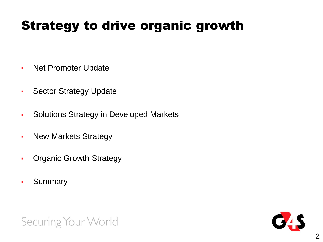## Strategy to drive organic growth

- **Net Promoter Update**
- **Sector Strategy Update**
- **-** Solutions Strategy in Developed Markets
- New Markets Strategy
- **-** Organic Growth Strategy
- **Summary**



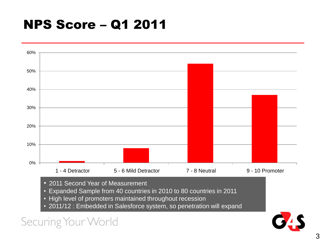## NPS Score – Q1 2011

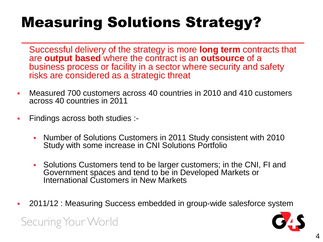# Measuring Solutions Strategy?

Successful delivery of the strategy is more **long term** contracts that are **output based** where the contract is an **outsource** of a business process or facility in a sector where security and safety risks are considered as a strategic threat

- Measured 700 customers across 40 countries in 2010 and 410 customers across 40 countries in 2011
- Findings across both studies :-

- Number of Solutions Customers in 2011 Study consistent with 2010 Study with some increase in CNI Solutions Portfolio
- Solutions Customers tend to be larger customers; in the CNI, FI and Government spaces and tend to be in Developed Markets or International Customers in New Markets
- 2011/12 : Measuring Success embedded in group-wide salesforce system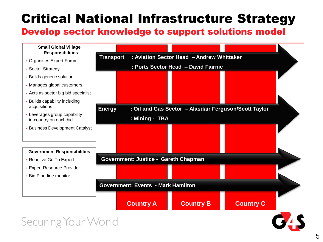## Critical National Infrastructure Strategy

#### Develop sector knowledge to support solutions model

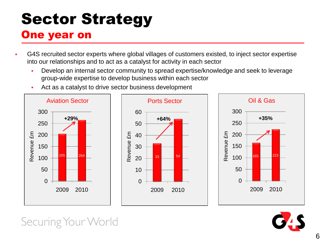# Sector Strategy One year on

- G4S recruited sector experts where global villages of customers existed, to inject sector expertise into our relationships and to act as a catalyst for activity in each sector
	- Develop an internal sector community to spread expertise/knowledge and seek to leverage group-wide expertise to develop business within each sector
	- Act as a catalyst to drive sector business development



![](_page_5_Picture_6.jpeg)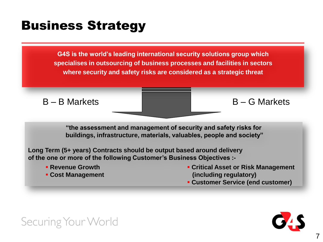## Business Strategy

**G4S is the world's leading international security solutions group which specialises in outsourcing of business processes and facilities in sectors where security and safety risks are considered as a strategic threat** 

 $B - B$  Markets  $B - G$  Markets

**"the assessment and management of security and safety risks for buildings, infrastructure, materials, valuables, people and society"**

**Long Term (5+ years) Contracts should be output based around delivery of the one or more of the following Customer's Business Objectives :-**

- **Revenue Growth**
- **Cost Management**
- **Critical Asset or Risk Management (including regulatory)**
- **Customer Service (end customer)**

![](_page_6_Picture_11.jpeg)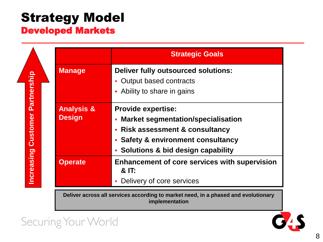### Strategy Model Developed Markets

|                                              |                                        | <b>Strategic Goals</b>                                                                                                                                                                                                       |
|----------------------------------------------|----------------------------------------|------------------------------------------------------------------------------------------------------------------------------------------------------------------------------------------------------------------------------|
| Partnership<br>Customer<br><b>Increasing</b> | <b>Manage</b>                          | <b>Deliver fully outsourced solutions:</b><br>Output based contracts<br>Ability to share in gains<br>п                                                                                                                       |
|                                              | <b>Analysis &amp;</b><br><b>Design</b> | <b>Provide expertise:</b><br><b>Market segmentation/specialisation</b><br>×<br><b>Risk assessment &amp; consultancy</b><br>Ē,<br><b>Safety &amp; environment consultancy</b><br><b>Solutions &amp; bid design capability</b> |
|                                              | <b>Operate</b>                         | <b>Enhancement of core services with supervision</b><br>& IT:<br>Delivery of core services                                                                                                                                   |

**Deliver across all services according to market need, in a phased and evolutionary implementation**

![](_page_7_Picture_4.jpeg)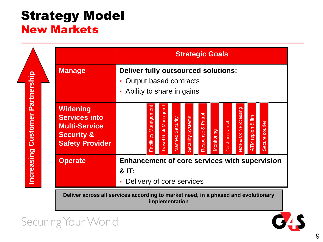### Strategy Model New Markets

**Strategic Goals Manage Deliver fully outsourced solutions:** Increasing Customer Partnership **Increasing Customer Partnership** Output based contracts • Ability to share in gains **Widening**  Facilities Management Travel Risk Managemt **Vote & Coin Processing** Note & Coin Processing Response & Patrol Response & Patrol **Services into**  ATM replen & flm **increased Security Systems**<br> **implement of core**<br> **implementation**<br> **implementation** Secure courier Cash-in-transit Cash-in-transit Secure courier **Multi-Service**  Monitoring **Security & Safety Provider Operate Enhancement of core services with supervision & IT: - Delivery of core services** 

**Deliver across all services according to market need, in a phased and evolutionary** 

![](_page_8_Picture_4.jpeg)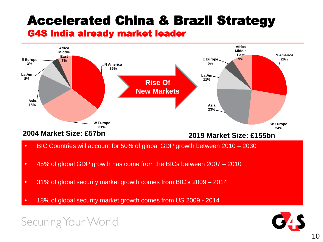# Accelerated China & Brazil Strategy

#### G4S India already market leader

![](_page_9_Figure_2.jpeg)

- BIC Countries will account for 50% of global GDP growth between 2010 2030
- 45% of global GDP growth has come from the BICs between 2007 2010
- 31% of global security market growth comes from BIC's 2009 2014
- 18% of global security market growth comes from US 2009 2014

![](_page_9_Picture_8.jpeg)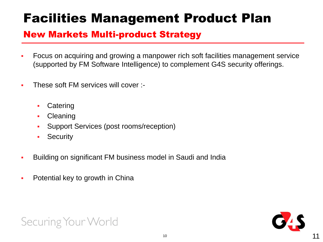# Facilities Management Product Plan

### New Markets Multi-product Strategy

- Focus on acquiring and growing a manpower rich soft facilities management service (supported by FM Software Intelligence) to complement G4S security offerings.
- These soft FM services will cover :-
	- **Catering**
	- Cleaning
	- Support Services (post rooms/reception)
	- **Security**
- Building on significant FM business model in Saudi and India
- Potential key to growth in China

![](_page_10_Picture_11.jpeg)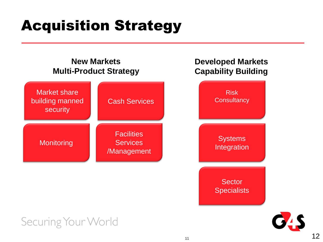# Acquisition Strategy

#### **New Markets Multi-Product Strategy**

![](_page_11_Figure_2.jpeg)

### **Developed Markets Capability Building**

![](_page_11_Picture_4.jpeg)

![](_page_11_Picture_5.jpeg)

![](_page_11_Picture_6.jpeg)

12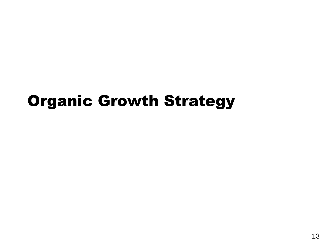# Organic Growth Strategy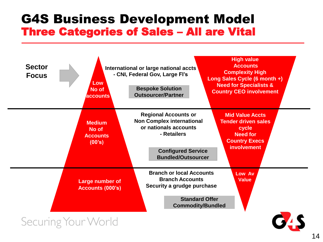### G4S Business Development Model Three Categories of Sales – All are Vital

![](_page_13_Figure_1.jpeg)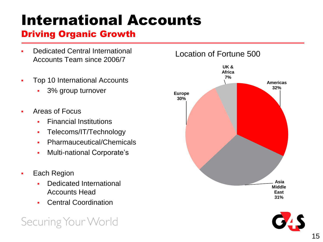# International Accounts

### Driving Organic Growth

- Dedicated Central International Accounts Team since 2006/7
- Top 10 International Accounts
	- 3% group turnover
- Areas of Focus
	- Financial Institutions
	- Telecoms/IT/Technology
	- Pharmauceutical/Chemicals
	- **Multi-national Corporate's**
- Each Region
	- Dedicated International Accounts Head
	- Central Coordination

![](_page_14_Figure_14.jpeg)

![](_page_14_Picture_15.jpeg)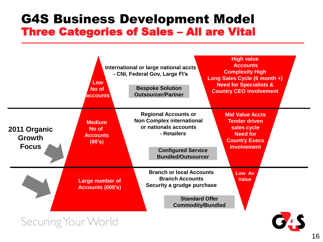### G4S Business Development Model Three Categories of Sales – All are Vital

![](_page_15_Figure_1.jpeg)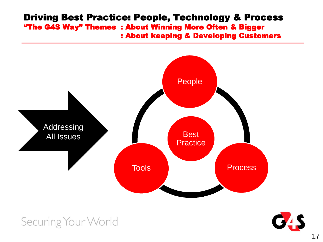#### Driving Best Practice: People, Technology & Process "The G4S Way" Themes : About Winning More Often & Bigger : About keeping & Developing Customers

![](_page_16_Figure_1.jpeg)

![](_page_16_Picture_3.jpeg)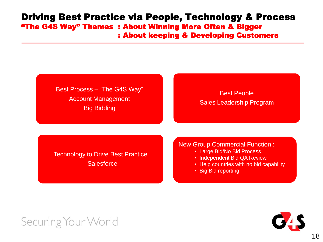#### Driving Best Practice via People, Technology & Process "The G4S Way" Themes : About Winning More Often & Bigger : About keeping & Developing Customers

#### Best Process – "The G4S Way" Account Management Big Bidding

#### Best People Sales Leadership Program

Technology to Drive Best Practice

- Salesforce

#### New Group Commercial Function :

- Large Bid/No Bid Process
- Independent Bid QA Review
- Help countries with no bid capability
- Big Bid reporting

![](_page_17_Picture_11.jpeg)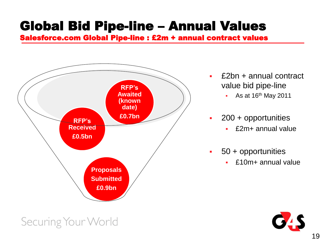## Global Bid Pipe-line – Annual Values

Salesforce.com Global Pipe-line : £2m + annual contract values

![](_page_18_Figure_2.jpeg)

- £2bn + annual contract value bid pipe-line
	- $-$  As at 16<sup>th</sup> May 2011
- **200 + opportunities** 
	- £2m+ annual value
- 50 + opportunities
	- £10m+ annual value

![](_page_18_Picture_9.jpeg)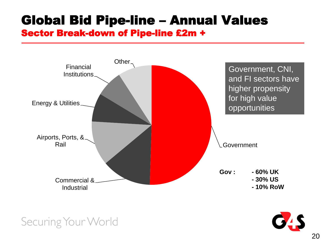# Global Bid Pipe-line – Annual Values

### Sector Break-down of Pipe-line £2m +

![](_page_19_Figure_2.jpeg)

![](_page_19_Picture_3.jpeg)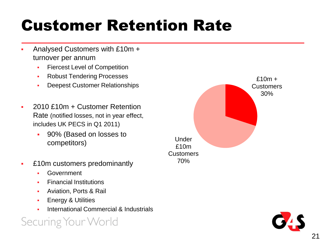# Customer Retention Rate

- Analysed Customers with £10m + turnover per annum
	- Fiercest Level of Competition
	- **Robust Tendering Processes**
	- Deepest Customer Relationships
- 2010 £10m + Customer Retention Rate (notified losses, not in year effect, includes UK PECS in Q1 2011)
	- 90% (Based on losses to competitors)
- £10m customers predominantly
	- Government
	- Financial Institutions
	- Aviation, Ports & Rail
	- Energy & Utilities
	- International Commercial & Industrials

![](_page_20_Figure_14.jpeg)

![](_page_20_Picture_15.jpeg)